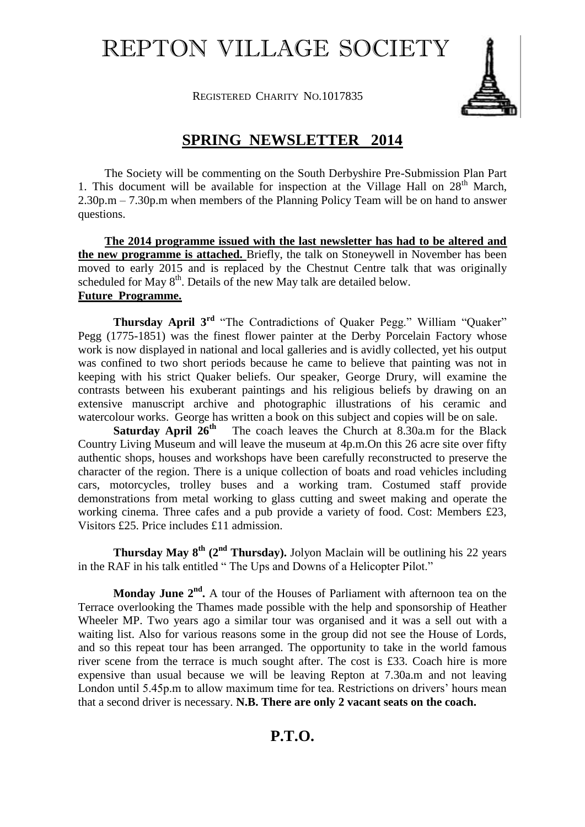## REPTON VILLAGE SOCIETY

REGISTERED CHARITY NO.1017835



## **SPRING NEWSLETTER 2014**

The Society will be commenting on the South Derbyshire Pre-Submission Plan Part 1. This document will be available for inspection at the Village Hall on  $28<sup>th</sup>$  March, 2.30p.m – 7.30p.m when members of the Planning Policy Team will be on hand to answer questions.

 **The 2014 programme issued with the last newsletter has had to be altered and the new programme is attached.** Briefly, the talk on Stoneywell in November has been moved to early 2015 and is replaced by the Chestnut Centre talk that was originally scheduled for May  $8<sup>th</sup>$ . Details of the new May talk are detailed below. **Future Programme.**

**Thursday April 3<sup>rd</sup>** "The Contradictions of Quaker Pegg." William "Quaker" Pegg (1775-1851) was the finest flower painter at the Derby Porcelain Factory whose work is now displayed in national and local galleries and is avidly collected, yet his output was confined to two short periods because he came to believe that painting was not in keeping with his strict Quaker beliefs. Our speaker, George Drury, will examine the contrasts between his exuberant paintings and his religious beliefs by drawing on an extensive manuscript archive and photographic illustrations of his ceramic and watercolour works. George has written a book on this subject and copies will be on sale.

**Saturday April**  $26^{th}$  The coach leaves the Church at 8.30a.m for the Black Country Living Museum and will leave the museum at 4p.m.On this 26 acre site over fifty authentic shops, houses and workshops have been carefully reconstructed to preserve the character of the region. There is a unique collection of boats and road vehicles including cars, motorcycles, trolley buses and a working tram. Costumed staff provide demonstrations from metal working to glass cutting and sweet making and operate the working cinema. Three cafes and a pub provide a variety of food. Cost: Members £23, Visitors £25. Price includes £11 admission.

**Thursday May 8th (2nd Thursday).** Jolyon Maclain will be outlining his 22 years in the RAF in his talk entitled " The Ups and Downs of a Helicopter Pilot."

Monday June  $2<sup>nd</sup>$ . A tour of the Houses of Parliament with afternoon tea on the Terrace overlooking the Thames made possible with the help and sponsorship of Heather Wheeler MP. Two years ago a similar tour was organised and it was a sell out with a waiting list. Also for various reasons some in the group did not see the House of Lords, and so this repeat tour has been arranged. The opportunity to take in the world famous river scene from the terrace is much sought after. The cost is £33. Coach hire is more expensive than usual because we will be leaving Repton at 7.30a.m and not leaving London until 5.45p.m to allow maximum time for tea. Restrictions on drivers' hours mean that a second driver is necessary. **N.B. There are only 2 vacant seats on the coach.**

## **P.T.O.**